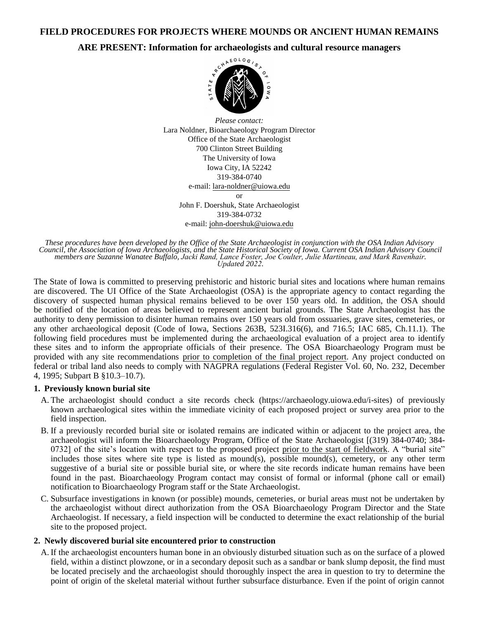**FIELD PROCEDURES FOR PROJECTS WHERE MOUNDS OR ANCIENT HUMAN REMAINS** 

# **ARE PRESENT: Information for archaeologists and cultural resource managers**<br>  $\frac{e^{c^{N}}{k^2}R^{N}}{k^2}$



*Please contact:*  Lara Noldner, Bioarchaeology Program Director Office of the State Archaeologist 700 Clinton Street Building The University of Iowa Iowa City, IA 52242 319-384-0740 e-mail: lara-noldner@uiowa.edu or John F. Doershuk, State Archaeologist 319-384-0732 e-mail: [john-doershuk@uiowa.edu](mailto:john-doershuk@uiowa.edu)

*These procedures have been developed by the Office of the State Archaeologist in conjunction with the OSA Indian Advisory Council, the Association of Iowa Archaeologists, and the State Historical Society of Iowa. Current OSA Indian Advisory Council members are Suzanne Wanatee Buffalo, Jacki Rand, Lance Foster, Joe Coulter, Julie Martineau, and Mark Ravenhair. Updated 2022.*

The State of Iowa is committed to preserving prehistoric and historic burial sites and locations where human remains are discovered. The UI Office of the State Archaeologist (OSA) is the appropriate agency to contact regarding the discovery of suspected human physical remains believed to be over 150 years old. In addition, the OSA should be notified of the location of areas believed to represent ancient burial grounds. The State Archaeologist has the authority to deny permission to disinter human remains over 150 years old from ossuaries, grave sites, cemeteries, or any other archaeological deposit (Code of Iowa, Sections 263B, 523I.316(6), and 716.5; IAC 685, Ch.11.1). The following field procedures must be implemented during the archaeological evaluation of a project area to identify these sites and to inform the appropriate officials of their presence. The OSA Bioarchaeology Program must be provided with any site recommendations prior to completion of the final project report. Any project conducted on federal or tribal land also needs to comply with NAGPRA regulations (Federal Register Vol. 60, No. 232, December 4, 1995; Subpart B §10.3–10.7).

### **1. Previously known burial site**

- A. The archaeologist should conduct a site records check (https://archaeology.uiowa.edu/i-sites) of previously known archaeological sites within the immediate vicinity of each proposed project or survey area prior to the field inspection.
- B. If a previously recorded burial site or isolated remains are indicated within or adjacent to the project area, the archaeologist will inform the Bioarchaeology Program, Office of the State Archaeologist [(319) 384-0740; 384- 0732] of the site's location with respect to the proposed project prior to the start of fieldwork. A "burial site" includes those sites where site type is listed as mound(s), possible mound(s), cemetery, or any other term suggestive of a burial site or possible burial site, or where the site records indicate human remains have been found in the past. Bioarchaeology Program contact may consist of formal or informal (phone call or email) notification to Bioarchaeology Program staff or the State Archaeologist.
- C. Subsurface investigations in known (or possible) mounds, cemeteries, or burial areas must not be undertaken by the archaeologist without direct authorization from the OSA Bioarchaeology Program Director and the State Archaeologist. If necessary, a field inspection will be conducted to determine the exact relationship of the burial site to the proposed project.

## **2. Newly discovered burial site encountered prior to construction**

A. If the archaeologist encounters human bone in an obviously disturbed situation such as on the surface of a plowed field, within a distinct plowzone, or in a secondary deposit such as a sandbar or bank slump deposit, the find must be located precisely and the archaeologist should thoroughly inspect the area in question to try to determine the point of origin of the skeletal material without further subsurface disturbance. Even if the point of origin cannot